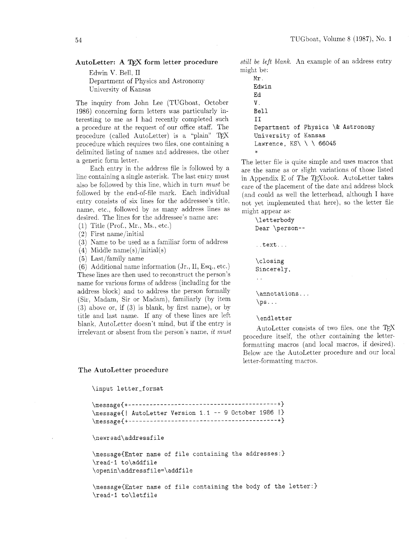## **AutoLetter: A TEX form letter procedure**

Edwin V. Bell, I1 Department of Physics and Astronomy University of Kansas

The inquiry from John Lee (TUGboat, October 1986) concerning form letters was particularly interesting to me as I had recently completed such a procedure at the request of our office staff. The procedure (called AutoLetter) is a "plain" TEX procedure which requires two files, one containing a delimited listing of names and addresses. the other a generic form letter.

Each entry in the address file is followed by a line containing a single asterisk. The last entry must also be followed by this line, which in turn *must* be followed *by* the end-of-file mark. Each individual entry consists of six lines for the addressee's title, name, etc.. follomed by as many address lines as desired. The lines for the addressee's name are:

- $(1)$  Title (Prof., Mr., Ms., etc.)
- (2) First name/initial
- (3) Name to be used as a familiar form of address
- (4) Middle name(s) /initial(s)

 $(5)$  Last/family name

(6) Additional name information (Jr., 11. Esq., etc.) These lines are then used to reconstruct the person's name for various forms of address (including for the address block) and to address the person formally (Sir, Madam, Sir or Madam), familiarly (by item **(3)** above or, if (3) is blank, by first name), or by title and last name. If any of these lines are left blank. AutoLetter doesn't mind, but if the entry is irrelevant or absent from the person's name, *it must* 

*still be left blank.* An example of an address entry might be:

**Mr. Edwin Ed v. Bell I I Department of Physics** \& **Astronomy University of Kansas Lawrence, KS\** \ \ **<sup>66045</sup>** \*

The letter file is quite simple and uses macros that are the same as or slight variations of those listed in Appendix E of The TEXbook. AutoLetter takes care of the placement of the date and address block (and could as well the letterhead, although I have not yet implemented that here), so the letter file might appear as:

**\lett erbody Dear \person- text.** . . **\closing Sincerely,**  . . \annotations...  $\ps...$ 

## **\endletter**

AutoLetter consists of two files, one the procedure itself, the other containing the letterformatting macros (and local macros. if desired). Below are the AutoLetter procedure and our local letter-formatting macros.

## **The AutoLetter procedure**

```
\input letter-f ormat
```

```
\message{| AutoLetter Version 1.1 -- 9 October 1986 |}
\newread\addressf ile 
\message(Enter name of file containing the addresses:) 
\read-I to\addfile 
\openin\addressfile=\addfile 
\message{Enter name of file containing the body of the letter:) 
\read-I to\letfile
```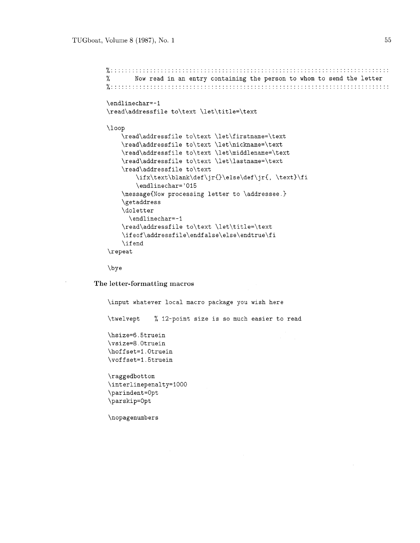```
x:::::::::::::::::::::::::::::::::::::::::::::::::::::::::::::::::::::::::::::: 
% Now read in an entry containing the person to whom to send the letter 
............................................................................... 0.. . . . . ...... ................... 
\endlinechar=-1
\read\addressfile to\text \let\title=\text
\loop 
    \read\addressfile to\text \let\firstname=\text 
    \read\addressfile to\text \let\nickname=\text 
    \read\addressfile to\text \let\middlename=\text 
    \read\addressfile to\text \let\lastname=\text 
    \read\addressfile to\text 
         \ifx\text\blank\def\jr()\else\def\jr{, \text)\fi 
         \endlinechar='015 
    \message{Now processing letter to \addressee.}
    \getaddress 
    \doletter 
      \endlinechar=-1 
    \read\addressfile to\text \let\title=\text 
    \ifeof\addressfile\endfalse\else\endtrue\fi 
    \if end 
\repeat
```
\bye

**The letter-formatting macros** 

```
\input whatever local macro package you wish here 
\twelvept % 12-point size is so much easier to read 
\hsize=6.5truein 
\vsize=8.0truein 
\hoffset=1.0truein
\voffset=l.5truein \raggedbottom
\interlinepenalty=1000
\parindent=0pt
\parskip=0pt
\nopagenumbers
```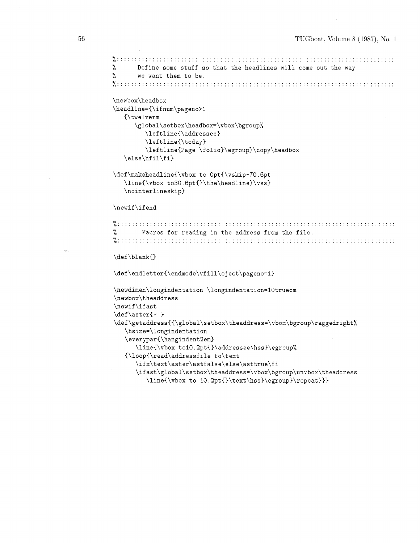```
y..::::::::::::::.:::..:.::.:::::::::::::::::::.:::::::...:..:.:.:::.:::::::::: 
0.. .... ....... 
% Define some stuff so that the headlines will come out the way 
       we want them to be.
x:::::::::::::::::::::::::::::::::::::::::::::::::::::::::::::::::::::::::::::: 
\newbox\headbox
\headline={\ifnum\pageno>1
   {\twelverm
      \global\setbox\headbox=\vbox\bgroup%
         \leftline{\addressee}
         \leftline{\today}
         \leftline{Page \folio}\egroup}\copy\headbox
   \else\hfil\fi}
\def\makeheadline{\vbox to Opt{\vskip-70.6pt
   \line{\vbox to30.6pt{}\the\headline}\vss}
   \nointerlineskip}
\newif\ifend
7 .............................................................................. 
I.. .......................................................................... 
% Macros for reading in the address from the file. 
\def\blank{}
\def\endletter{\endmode\vfill\eject\pageno=1}
\newdimen\longindentation \longindentation=lOtruecm 
\newbox\theaddress 
\newif \if ast 
\def\aster{* ) 
\def\getaddress{{\global\setbox\theaddress=\vbox\bgroup\raggedright%
   \hsize=\longindentation 
   \everypar{\hangindent2em) 
      \lineC\vbox tol0.2pt{)\addressee\hss)\egroup% 
   C\loopC\read\addressfile to\text 
      \ifx\text\aster\astfalse\else\asttrue\fi 
      \ifast\global\setbox\theaddress=\vbox\bgroup\unvbox\theaddress 
         \line{\vbox to 10.2pt{)\text\hss)\egroup)\repeat)))
```
56

 $\sigma_{\rm eff}$  .